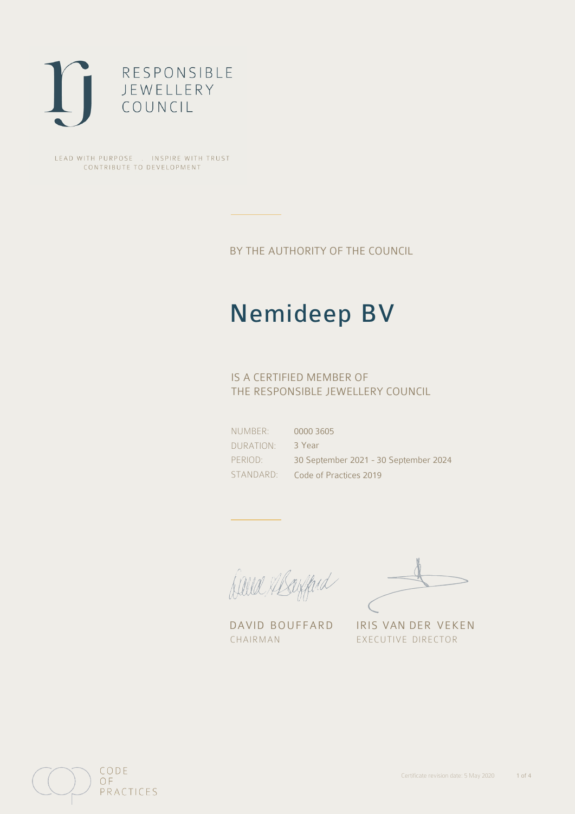

LEAD WITH PURPOSE . INSPIRE WITH TRUST CONTRIBUTE TO DEVELOPMENT

BY THE AUTHORITY OF THE COUNCIL

# Nemideep BV

## IS A CERTIFIED MEMBER OF THE RESPONSIBLE JEWELLERY COUNCIL

NUMBER: DURATION: PERIOD: STANDARD:

0000 3605 3 Year 30 September 2021 - 30 September 2024 Code of Practices 2019

Caux Margaret

DAVID BOUFFARD IRIS VAN DER VEKEN CHAIRMAN EXECUTIVE DIRECTOR

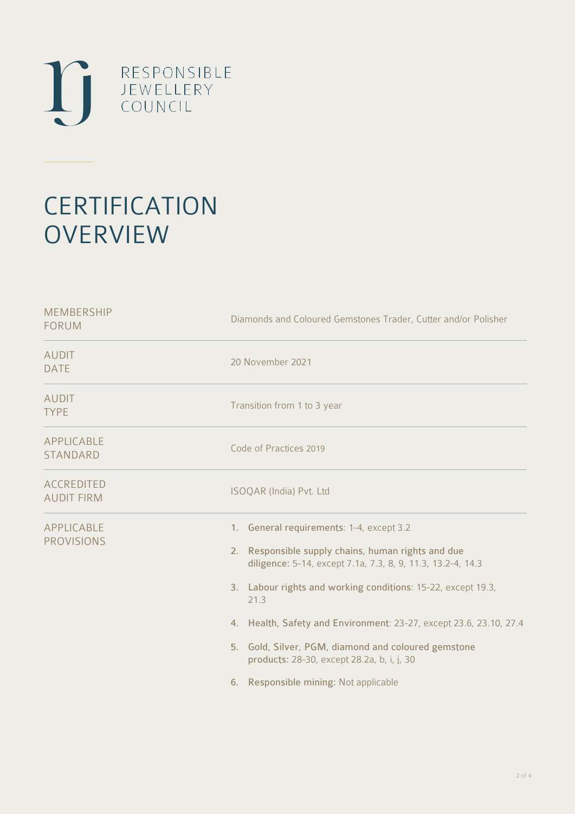

# **CERTIFICATION OVERVIEW**

| Diamonds and Coloured Gemstones Trader, Cutter and/or Polisher                                                                                                                                                                                                                                                                                                                                                                                               |
|--------------------------------------------------------------------------------------------------------------------------------------------------------------------------------------------------------------------------------------------------------------------------------------------------------------------------------------------------------------------------------------------------------------------------------------------------------------|
| 20 November 2021                                                                                                                                                                                                                                                                                                                                                                                                                                             |
| Transition from 1 to 3 year                                                                                                                                                                                                                                                                                                                                                                                                                                  |
| Code of Practices 2019                                                                                                                                                                                                                                                                                                                                                                                                                                       |
| ISOQAR (India) Pvt. Ltd                                                                                                                                                                                                                                                                                                                                                                                                                                      |
| 1. General requirements: 1-4, except 3.2<br>2. Responsible supply chains, human rights and due<br>diligence: 5-14, except 7.1a, 7.3, 8, 9, 11.3, 13.2-4, 14.3<br>3. Labour rights and working conditions: 15-22, except 19.3,<br>21.3<br>4. Health, Safety and Environment: 23-27, except 23.6, 23.10, 27.4<br>5. Gold, Silver, PGM, diamond and coloured gemstone<br>products: 28-30, except 28.2a, b, i, j, 30<br>Responsible mining: Not applicable<br>6. |
|                                                                                                                                                                                                                                                                                                                                                                                                                                                              |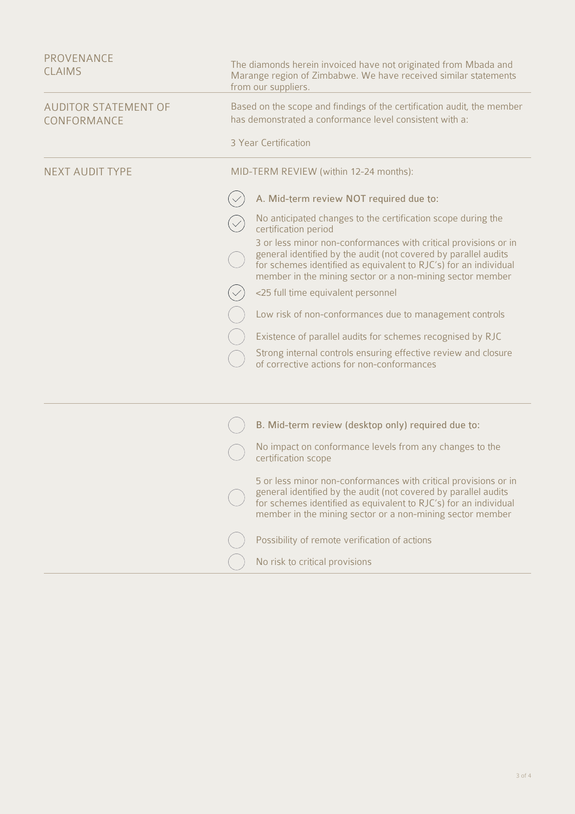| PROVENANCE<br><b>CLAIMS</b>                | The diamonds herein invoiced have not originated from Mbada and<br>Marange region of Zimbabwe. We have received similar statements<br>from our suppliers.                                                                                                           |
|--------------------------------------------|---------------------------------------------------------------------------------------------------------------------------------------------------------------------------------------------------------------------------------------------------------------------|
| <b>AUDITOR STATEMENT OF</b><br>CONFORMANCE | Based on the scope and findings of the certification audit, the member<br>has demonstrated a conformance level consistent with a:                                                                                                                                   |
|                                            | 3 Year Certification                                                                                                                                                                                                                                                |
| <b>NEXT AUDIT TYPE</b>                     | MID-TERM REVIEW (within 12-24 months):                                                                                                                                                                                                                              |
|                                            | A. Mid-term review NOT required due to:                                                                                                                                                                                                                             |
|                                            | No anticipated changes to the certification scope during the<br>certification period                                                                                                                                                                                |
|                                            | 3 or less minor non-conformances with critical provisions or in<br>general identified by the audit (not covered by parallel audits<br>for schemes identified as equivalent to RJC's) for an individual<br>member in the mining sector or a non-mining sector member |
|                                            | <25 full time equivalent personnel                                                                                                                                                                                                                                  |
|                                            | Low risk of non-conformances due to management controls                                                                                                                                                                                                             |
|                                            | Existence of parallel audits for schemes recognised by RJC                                                                                                                                                                                                          |
|                                            | Strong internal controls ensuring effective review and closure<br>of corrective actions for non-conformances                                                                                                                                                        |
|                                            |                                                                                                                                                                                                                                                                     |
|                                            | B. Mid-term review (desktop only) required due to:                                                                                                                                                                                                                  |
|                                            | No impact on conformance levels from any changes to the<br>certification scope                                                                                                                                                                                      |
|                                            | 5 or less minor non-conformances with critical provisions or in<br>general identified by the audit (not covered by parallel audits<br>for schemes identified as equivalent to RJC's) for an individual<br>member in the mining sector or a non-mining sector member |
|                                            | Possibility of remote verification of actions                                                                                                                                                                                                                       |
|                                            | No risk to critical provisions                                                                                                                                                                                                                                      |